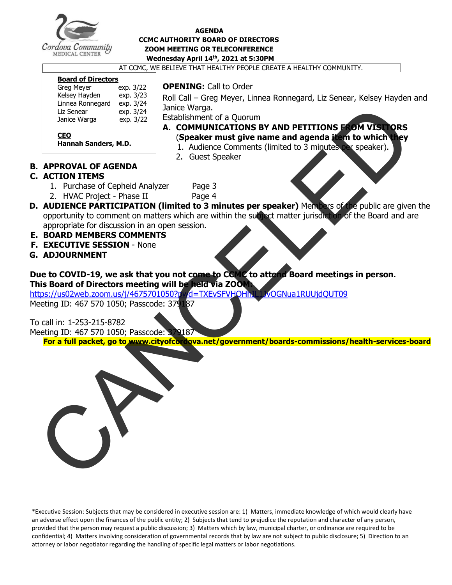

#### **AGENDA CCMC AUTHORITY BOARD OF DIRECTORS ZOOM MEETING OR TELECONFERENCE Wednesday April 14th , 2021 at 5:30PM**

AT CCMC, WE BELIEVE THAT HEALTHY PEOPLE CREATE A HEALTHY COMMUNITY.

#### **Board of Directors**

| <b>Greg Meyer</b> | exp. 3/22 |
|-------------------|-----------|
| Kelsey Hayden     | exp. 3/23 |
| Linnea Ronnegard  | exp. 3/24 |
| Liz Senear        | exp. 3/24 |
| Janice Warga      | exp. 3/22 |
|                   |           |

**Hannah Sanders, M.D.** 

### **OPENING:** Call to Order

Roll Call – Greg Meyer, Linnea Ronnegard, Liz Senear, Kelsey Hayden and Janice Warga.

Establishment of a Quorum

## **A. COMMUNICATIONS BY AND PETITIONS FROM VISITORS** (**Speaker must give name and agenda item to which they**

- **are addressing.)** 1. Audience Comments (limited to 3 minutes per speaker).
- 2. Guest Speaker

## **B. APPROVAL OF AGENDA**

### **C. ACTION ITEMS**

**CEO**

- 1. Purchase of Cepheid Analyzer Page 3
- 2. HVAC Project Phase II Page 4
- **D. AUDIENCE PARTICIPATION (limited to 3 minutes per speaker)** Members of the public are given the opportunity to comment on matters which are within the subject matter jurisdiction of the Board and are appropriate for discussion in an open session.
- **E. BOARD MEMBERS COMMENTS**
- **F. EXECUTIVE SESSION** None
- **G. ADJOURNMENT**

## **Due to COVID-19, we ask that you not come to CCMC to attend Board meetings in person. This Board of Directors meeting will be held via ZOOM:**

https://us02web.zoom.us/j/4675701050?pwd=TXEvSFVHOHhIL1JvOGNua1RUUjdQUT09

Meeting ID: 467 570 1050; Passcode: 379187

To call in: 1-253-215-8782

Meeting ID: 467 570 1050; Passcode: 379187 **For a full packet, go to www.cityofcordova.net/government/boards-commissions/health-services-board**



\*Executive Session: Subjects that may be considered in executive session are: 1) Matters, immediate knowledge of which would clearly have an adverse effect upon the finances of the public entity; 2) Subjects that tend to prejudice the reputation and character of any person, provided that the person may request a public discussion; 3) Matters which by law, municipal charter, or ordinance are required to be confidential; 4) Matters involving consideration of governmental records that by law are not subject to public disclosure; 5) Direction to an attorney or labor negotiator regarding the handling of specific legal matters or labor negotiations.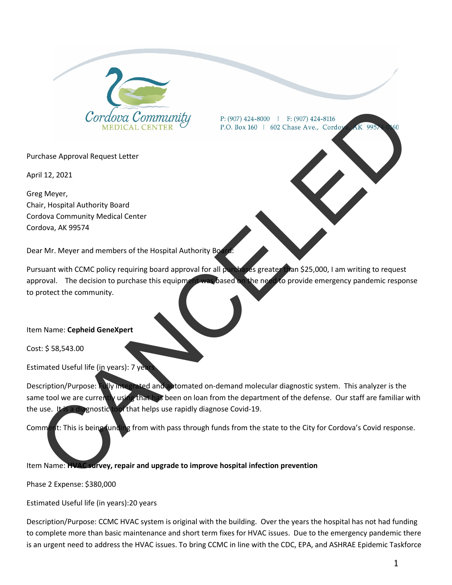

Purchase Approval Request Letter

April 12, 2021

Greg Meyer, Chair, Hospital Authority Board Cordova Community Medical Center Cordova, AK 99574

Dear Mr. Meyer and members of the Hospital Authority Boa

Pursuant with CCMC policy requiring board approval for all purchases greater than \$25,000, I am writing to request approval. The decision to purchase this equipment was based on the need to provide emergency pandemic response to protect the community. Contained Community<br>
CONDICAL CENTER<br>
TRISTENCE A CENTER<br>
TRIST Response Approval Request Letter<br>
This physical Authority Board<br>
TRIST Responsible and members of the Haspital Authority Board<br>
TRIST Responsible and members

Item Name: **Cepheid GeneXpert** 

Cost: \$ 58,543.00

Estimated Useful life (in years): 7 year

Description/Purpose: Fully integrated and automated on-demand molecular diagnostic system. This analyzer is the same tool we are currently using that has been on loan from the department of the defense. Our staff are familiar with the use. It is a diagnostic tool that helps use rapidly diagnose Covid-19.

Comment: This is being funding from with pass through funds from the state to the City for Cordova's Covid response.

Item Name: **HVAC survey, repair and upgrade to improve hospital infection prevention**

Phase 2 Expense: \$380,000

Estimated Useful life (in years):20 years

Description/Purpose: CCMC HVAC system is original with the building. Over the years the hospital has not had funding to complete more than basic maintenance and short term fixes for HVAC issues. Due to the emergency pandemic there is an urgent need to address the HVAC issues. To bring CCMC in line with the CDC, EPA, and ASHRAE Epidemic Taskforce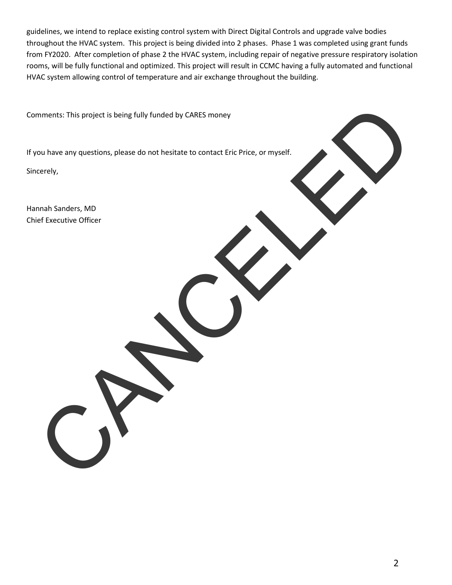guidelines, we intend to replace existing control system with Direct Digital Controls and upgrade valve bodies throughout the HVAC system. This project is being divided into 2 phases. Phase 1 was completed using grant funds from FY2020. After completion of phase 2 the HVAC system, including repair of negative pressure respiratory isolation rooms, will be fully functional and optimized. This project will result in CCMC having a fully automated and functional HVAC system allowing control of temperature and air exchange throughout the building.

Comments: This project is being fully funded by CARES money

If you have any questions, please do not hesitate to contact Eric Price, or myself. mments: This project is being fully funded by CARLS money<br>coulture any questions, please do not hesitate to consact Entrema, or myself.<br>Cancely,<br>construction Office

Sincerely,

Hannah Sanders, MD Chief Executive Officer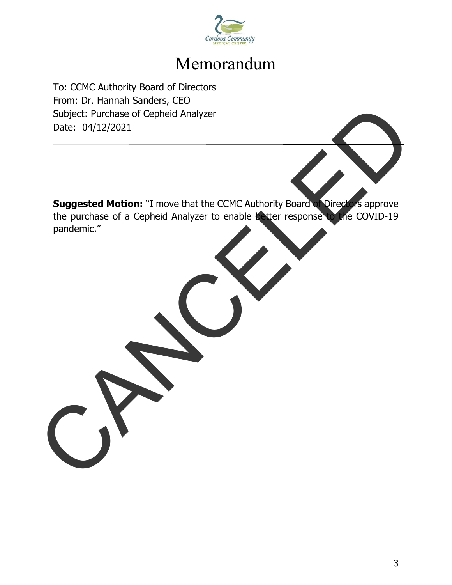

# Memorandum

To: CCMC Authority Board of Directors From: Dr. Hannah Sanders, CEO Subject: Purchase of Cepheid Analyzer Date: 04/12/2021

**Suggested Motion:** "I move that the CCMC Authority Board of Directors approve the purchase of a Cepheid Analyzer to enable better response to the COVID-19 pandemic." Subject: Purchase of Cepheid Analyzer<br>Date: 04/12/2021<br>Suggested Motion: "I move that the CCMC Authority Board Comprove<br>the purchase of a Cepheid Analyzer to enable with response the COVID-19<br>pandemic."